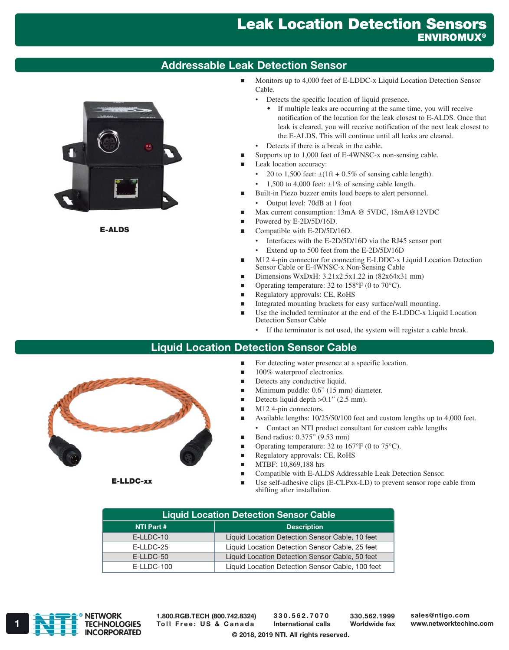# Leak Location Detection Sensors **ENVIROMUX®**

## Addressable Leak Detection Sensor



E-ALDS

- Monitors up to 4,000 feet of E-LDDC-x Liquid Location Detection Sensor Cable.
	- Detects the specific location of liquid presence.
		- If multiple leaks are occurring at the same time, you will receive notification of the location for the leak closest to E-ALDS. Once that leak is cleared, you will receive notification of the next leak closest to the E-ALDS. This will continue until all leaks are cleared.
	- Detects if there is a break in the cable.
- Supports up to 1,000 feet of E-4WNSC-x non-sensing cable.
- Leak location accuracy:
	- 20 to 1,500 feet:  $\pm(1\text{ft} + 0.5\% \text{ of sensing cable length}).$
	- 1,500 to 4,000 feet:  $\pm 1\%$  of sensing cable length.
- Built-in Piezo buzzer emits loud beeps to alert personnel.
	- Output level: 70dB at 1 foot
- Max current consumption: 13mA @ 5VDC, 18mA @ 12VDC
- Powered by E-2D/5D/16D.
- Compatible with E-2D/5D/16D.
	- Interfaces with the E-2D/5D/16D via the RJ45 sensor port
	- Extend up to 500 feet from the E-2D/5D/16D
- M12 4-pin connector for connecting E-LDDC-x Liquid Location Detection Sensor Cable or E-4WNSC-x Non-Sensing Cable
- Dimensions WxDxH:  $3.21x2.5x1.22$  in  $(82x64x31$  mm)
- Operating temperature: 32 to 158°F (0 to 70°C).
- Regulatory approvals: CE, RoHS
- Integrated mounting brackets for easy surface/wall mounting.
- Use the included terminator at the end of the E-LDDC-x Liquid Location Detection Sensor Cable
	- If the terminator is not used, the system will register a cable break.

### Liquid Location Detection Sensor Cable

- For detecting water presence at a specific location.
- 100% waterproof electronics.
- Detects any conductive liquid.
- Minimum puddle: 0.6" (15 mm) diameter.
- Detects liquid depth  $>0.1$ " (2.5 mm).
- M12 4-pin connectors.
- Available lengths: 10/25/50/100 feet and custom lengths up to 4,000 feet.
	- Contact an NTI product consultant for custom cable lengths
- Bend radius:  $0.375$ " (9.53 mm)
- **Operating temperature:** 32 to 167 $\mathrm{^{\circ}F}$  (0 to 75 $\mathrm{^{\circ}C}$ ).
- Regulatory approvals: CE, RoHS
- **MTBF: 10,869,188 hrs**
- Compatible with E-ALDS Addressable Leak Detection Sensor.
- Use self-adhesive clips (E-CLPxx-LD) to prevent sensor rope cable from shifting after installation.

| <b>Liquid Location Detection Sensor Cable</b> |                                                  |
|-----------------------------------------------|--------------------------------------------------|
| NTI Part #                                    | <b>Description</b>                               |
| E-LLDC-10                                     | Liquid Location Detection Sensor Cable, 10 feet  |
| E-LLDC-25                                     | Liquid Location Detection Sensor Cable, 25 feet  |
| $E-LLDC-50$                                   | Liquid Location Detection Sensor Cable, 50 feet  |
| $E-LLDC-100$                                  | Liquid Location Detection Sensor Cable, 100 feet |



1.800.RGB.TECH (800.742.8324)

330.562.7070 International calls

330.562.1999 Worldwide fax sales@ntigo.com

© 2018, 2019 NTI. All rights reserved.